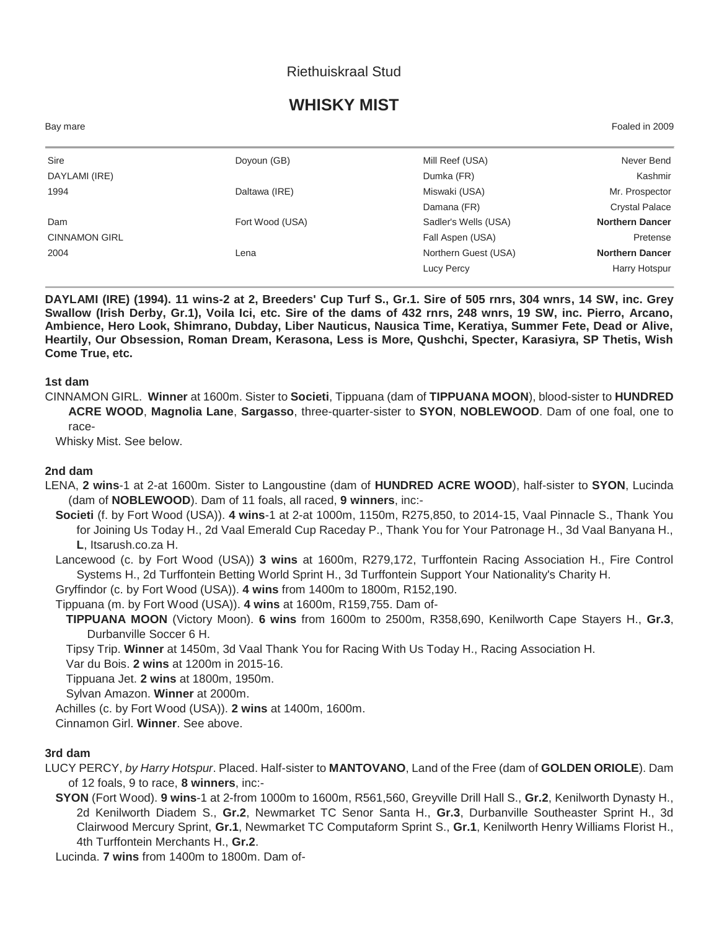## Riethuiskraal Stud

# **WHISKY MIST**

Bay mare Foaled in 2009

| Sire<br>Mill Reef (USA)<br>Doyoun (GB)<br>DAYLAMI (IRE)<br>Dumka (FR)<br>1994<br>Miswaki (USA)<br>Daltawa (IRE)<br>Damana (FR)<br>Sadler's Wells (USA)<br>Fort Wood (USA)<br>Dam<br><b>CINNAMON GIRL</b><br>Fall Aspen (USA)<br>Northern Guest (USA)<br>2004<br>Lena<br>Lucy Percy |  |  |                        |
|------------------------------------------------------------------------------------------------------------------------------------------------------------------------------------------------------------------------------------------------------------------------------------|--|--|------------------------|
|                                                                                                                                                                                                                                                                                    |  |  | Never Bend             |
|                                                                                                                                                                                                                                                                                    |  |  | Kashmir                |
|                                                                                                                                                                                                                                                                                    |  |  | Mr. Prospector         |
|                                                                                                                                                                                                                                                                                    |  |  | <b>Crystal Palace</b>  |
|                                                                                                                                                                                                                                                                                    |  |  | <b>Northern Dancer</b> |
|                                                                                                                                                                                                                                                                                    |  |  | Pretense               |
|                                                                                                                                                                                                                                                                                    |  |  | <b>Northern Dancer</b> |
|                                                                                                                                                                                                                                                                                    |  |  | Harry Hotspur          |

**DAYLAMI (IRE) (1994). 11 wins-2 at 2, Breeders' Cup Turf S., Gr.1. Sire of 505 rnrs, 304 wnrs, 14 SW, inc. Grey Swallow (Irish Derby, Gr.1), Voila Ici, etc. Sire of the dams of 432 rnrs, 248 wnrs, 19 SW, inc. Pierro, Arcano, Ambience, Hero Look, Shimrano, Dubday, Liber Nauticus, Nausica Time, Keratiya, Summer Fete, Dead or Alive, Heartily, Our Obsession, Roman Dream, Kerasona, Less is More, Qushchi, Specter, Karasiyra, SP Thetis, Wish Come True, etc.**

**1st dam**

CINNAMON GIRL. **Winner** at 1600m. Sister to **Societi**, Tippuana (dam of **TIPPUANA MOON**), blood-sister to **HUNDRED ACRE WOOD**, **Magnolia Lane**, **Sargasso**, three-quarter-sister to **SYON**, **NOBLEWOOD**. Dam of one foal, one to race-

Whisky Mist. See below.

#### **2nd dam**

LENA, **2 wins**-1 at 2-at 1600m. Sister to Langoustine (dam of **HUNDRED ACRE WOOD**), half-sister to **SYON**, Lucinda (dam of **NOBLEWOOD**). Dam of 11 foals, all raced, **9 winners**, inc:-

**Societi** (f. by Fort Wood (USA)). **4 wins**-1 at 2-at 1000m, 1150m, R275,850, to 2014-15, Vaal Pinnacle S., Thank You for Joining Us Today H., 2d Vaal Emerald Cup Raceday P., Thank You for Your Patronage H., 3d Vaal Banyana H., **L**, Itsarush.co.za H.

Lancewood (c. by Fort Wood (USA)) **3 wins** at 1600m, R279,172, Turffontein Racing Association H., Fire Control Systems H., 2d Turffontein Betting World Sprint H., 3d Turffontein Support Your Nationality's Charity H.

Gryffindor (c. by Fort Wood (USA)). **4 wins** from 1400m to 1800m, R152,190.

Tippuana (m. by Fort Wood (USA)). **4 wins** at 1600m, R159,755. Dam of-

**TIPPUANA MOON** (Victory Moon). **6 wins** from 1600m to 2500m, R358,690, Kenilworth Cape Stayers H., **Gr.3**, Durbanville Soccer 6 H.

Tipsy Trip. **Winner** at 1450m, 3d Vaal Thank You for Racing With Us Today H., Racing Association H.

Var du Bois. **2 wins** at 1200m in 2015-16.

Tippuana Jet. **2 wins** at 1800m, 1950m.

Sylvan Amazon. **Winner** at 2000m.

Achilles (c. by Fort Wood (USA)). **2 wins** at 1400m, 1600m.

Cinnamon Girl. **Winner**. See above.

### **3rd dam**

LUCY PERCY, *by Harry Hotspur*. Placed. Half-sister to **MANTOVANO**, Land of the Free (dam of **GOLDEN ORIOLE**). Dam of 12 foals, 9 to race, **8 winners**, inc:-

**SYON** (Fort Wood). **9 wins**-1 at 2-from 1000m to 1600m, R561,560, Greyville Drill Hall S., **Gr.2**, Kenilworth Dynasty H., 2d Kenilworth Diadem S., **Gr.2**, Newmarket TC Senor Santa H., **Gr.3**, Durbanville Southeaster Sprint H., 3d Clairwood Mercury Sprint, **Gr.1**, Newmarket TC Computaform Sprint S., **Gr.1**, Kenilworth Henry Williams Florist H., 4th Turffontein Merchants H., **Gr.2**.

Lucinda. **7 wins** from 1400m to 1800m. Dam of-